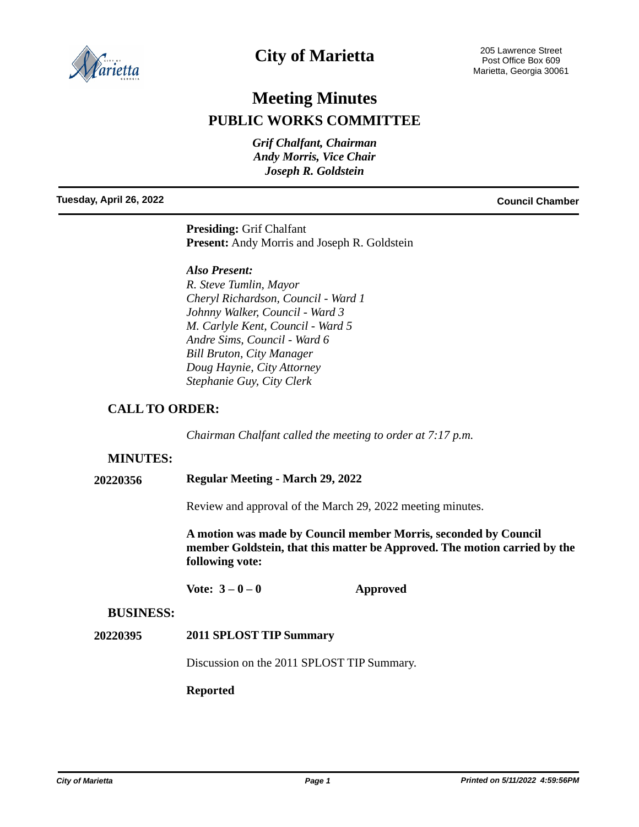

## **City of Marietta**

# **Meeting Minutes PUBLIC WORKS COMMITTEE**

*Grif Chalfant, Chairman Andy Morris, Vice Chair Joseph R. Goldstein*

**Tuesday, April 26, 2022 Council Chamber**

**Presiding:** Grif Chalfant **Present:** Andy Morris and Joseph R. Goldstein

#### *Also Present:*

*R. Steve Tumlin, Mayor Cheryl Richardson, Council - Ward 1 Johnny Walker, Council - Ward 3 M. Carlyle Kent, Council - Ward 5 Andre Sims, Council - Ward 6 Bill Bruton, City Manager Doug Haynie, City Attorney Stephanie Guy, City Clerk*

### **CALL TO ORDER:**

*Chairman Chalfant called the meeting to order at 7:17 p.m.*

#### **MINUTES:**

**20220356 Regular Meeting - March 29, 2022**

Review and approval of the March 29, 2022 meeting minutes.

**A motion was made by Council member Morris, seconded by Council member Goldstein, that this matter be Approved. The motion carried by the following vote:**

Vote:  $3-0-0$  **Approved** 

#### **BUSINESS:**

#### **20220395 2011 SPLOST TIP Summary**

Discussion on the 2011 SPLOST TIP Summary.

#### **Reported**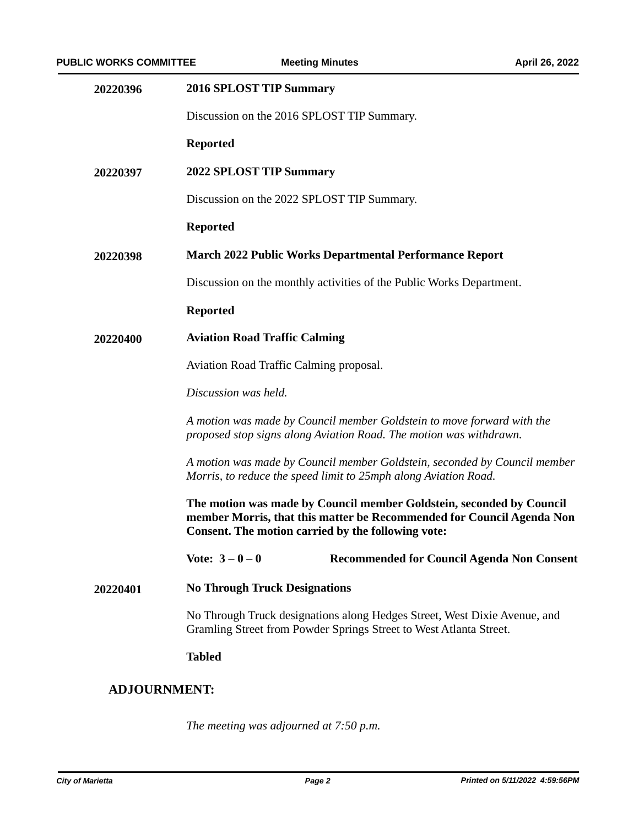| 20220396            | <b>2016 SPLOST TIP Summary</b>                                                                                                                                                                      |
|---------------------|-----------------------------------------------------------------------------------------------------------------------------------------------------------------------------------------------------|
|                     | Discussion on the 2016 SPLOST TIP Summary.                                                                                                                                                          |
|                     | <b>Reported</b>                                                                                                                                                                                     |
| 20220397            | 2022 SPLOST TIP Summary                                                                                                                                                                             |
|                     | Discussion on the 2022 SPLOST TIP Summary.                                                                                                                                                          |
|                     | <b>Reported</b>                                                                                                                                                                                     |
| 20220398            | <b>March 2022 Public Works Departmental Performance Report</b>                                                                                                                                      |
|                     | Discussion on the monthly activities of the Public Works Department.                                                                                                                                |
|                     | <b>Reported</b>                                                                                                                                                                                     |
| 20220400            | <b>Aviation Road Traffic Calming</b>                                                                                                                                                                |
|                     | Aviation Road Traffic Calming proposal.                                                                                                                                                             |
|                     | Discussion was held.                                                                                                                                                                                |
|                     | A motion was made by Council member Goldstein to move forward with the<br>proposed stop signs along Aviation Road. The motion was withdrawn.                                                        |
|                     | A motion was made by Council member Goldstein, seconded by Council member<br>Morris, to reduce the speed limit to 25mph along Aviation Road.                                                        |
|                     | The motion was made by Council member Goldstein, seconded by Council<br>member Morris, that this matter be Recommended for Council Agenda Non<br>Consent. The motion carried by the following vote: |
|                     | Vote: $3 - 0 - 0$<br><b>Recommended for Council Agenda Non Consent</b>                                                                                                                              |
| 20220401            | <b>No Through Truck Designations</b>                                                                                                                                                                |
|                     | No Through Truck designations along Hedges Street, West Dixie Avenue, and<br>Gramling Street from Powder Springs Street to West Atlanta Street.                                                     |
|                     | <b>Tabled</b>                                                                                                                                                                                       |
| <b>ADJOURNMENT:</b> |                                                                                                                                                                                                     |

*The meeting was adjourned at 7:50 p.m.*